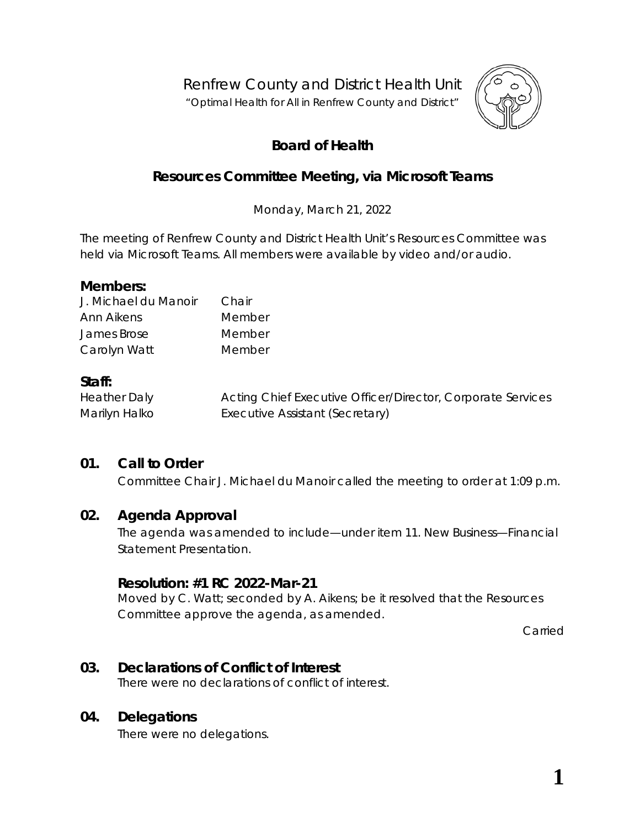Renfrew County and District Health Unit

"*Optimal Health for All in Renfrew County and District"*



# **Board of Health**

# **Resources Committee Meeting, via** *Microsoft Teams*

Monday, March 21, 2022

The meeting of Renfrew County and District Health Unit's Resources Committee was held via *Microsoft Teams*. All members were available by video and/or audio.

### **Members:**

| J. Michael du Manoir | Chair  |
|----------------------|--------|
| Ann Aikens           | Member |
| James Brose          | Member |
| Carolyn Watt         | Member |

### **Staff:**

| <b>Heather Daly</b> | Acting Chief Executive Officer/Director, Corporate Services |
|---------------------|-------------------------------------------------------------|
| Marilyn Halko       | Executive Assistant (Secretary)                             |

## **01. Call to Order**

Committee Chair J. Michael du Manoir called the meeting to order at 1:09 p.m.

### **02. Agenda Approval**

The agenda was amended to include—under item 11. New Business—Financial Statement Presentation.

### **Resolution: #1 RC 2022-Mar-21**

Moved by C. Watt; seconded by A. Aikens; be it resolved that the Resources Committee approve the agenda, as amended.

Carried

### **03. Declarations of Conflict of Interest**

There were no declarations of conflict of interest.

### **04. Delegations**

There were no delegations.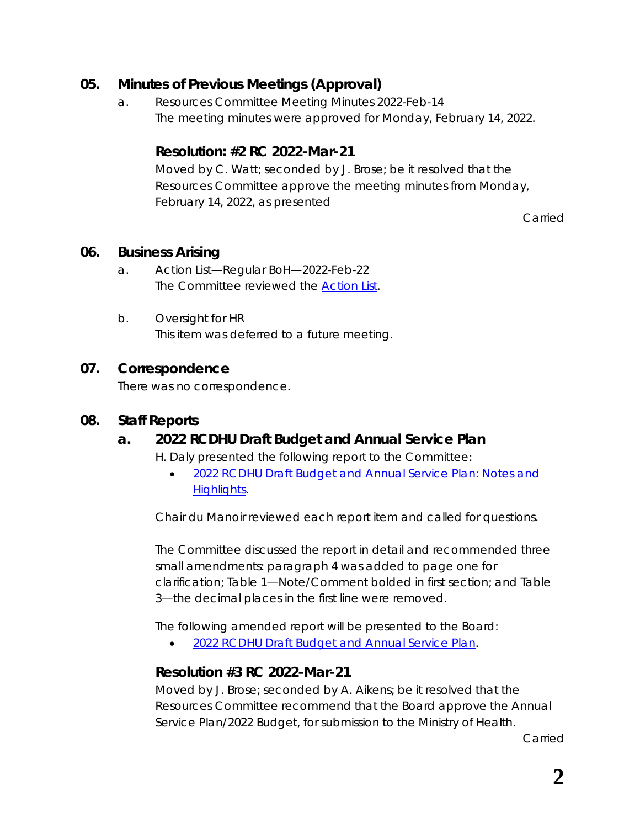## **05. Minutes of Previous Meetings (Approval)**

a. Resources Committee Meeting Minutes 2022-Feb-14 The meeting minutes were approved for Monday, February 14, 2022.

## **Resolution: #2 RC 2022-Mar-21**

Moved by C. Watt; seconded by J. Brose; be it resolved that the Resources Committee approve the meeting minutes from Monday, February 14, 2022, as presented

Carried

### **06. Business Arising**

- a. Action List—Regular BoH—2022-Feb-22 The Committee reviewed the *[Action List](https://www.rcdhu.com/wp-content/uploads/2022/03/06.-a.-Action-List-Regular-BoH-2022-Feb-22.pdf)*.
- b. Oversight for HR This item was deferred to a future meeting.

#### **07. Correspondence**

There was no correspondence.

#### **08. Staff Reports**

### **a. 2022 RCDHU Draft Budget and Annual Service Plan**

H. Daly presented the following report to the Committee:

• *[2022 RCDHU Draft Budget and Annual Service Plan:](https://www.rcdhu.com/wp-content/uploads/2022/05/08.-a.-2022-RCDHU-Draft-Budget-and-Annual-Service-Plan-Notes-and-Highlights.pdf) Notes and [Highlights](https://www.rcdhu.com/wp-content/uploads/2022/05/08.-a.-2022-RCDHU-Draft-Budget-and-Annual-Service-Plan-Notes-and-Highlights.pdf)*.

Chair du Manoir reviewed each report item and called for questions.

The Committee discussed the report in detail and recommended three small amendments: paragraph 4 was added to page one for clarification; Table 1—Note/Comment bolded in first section; and Table 3—the decimal places in the first line were removed.

The following amended report will be presented to the Board:

• *[2022 RCDHU Draft Budget and Annual Service Plan.](https://www.rcdhu.com/wp-content/uploads/2022/05/2022-RCDHU-Budget-Notes-and-Highlights-revised.pdf)*

## **Resolution #3 RC 2022-Mar-21**

Moved by J. Brose; seconded by A. Aikens; be it resolved that the Resources Committee recommend that the Board approve the Annual Service Plan/2022 Budget, for submission to the Ministry of Health.

Carried